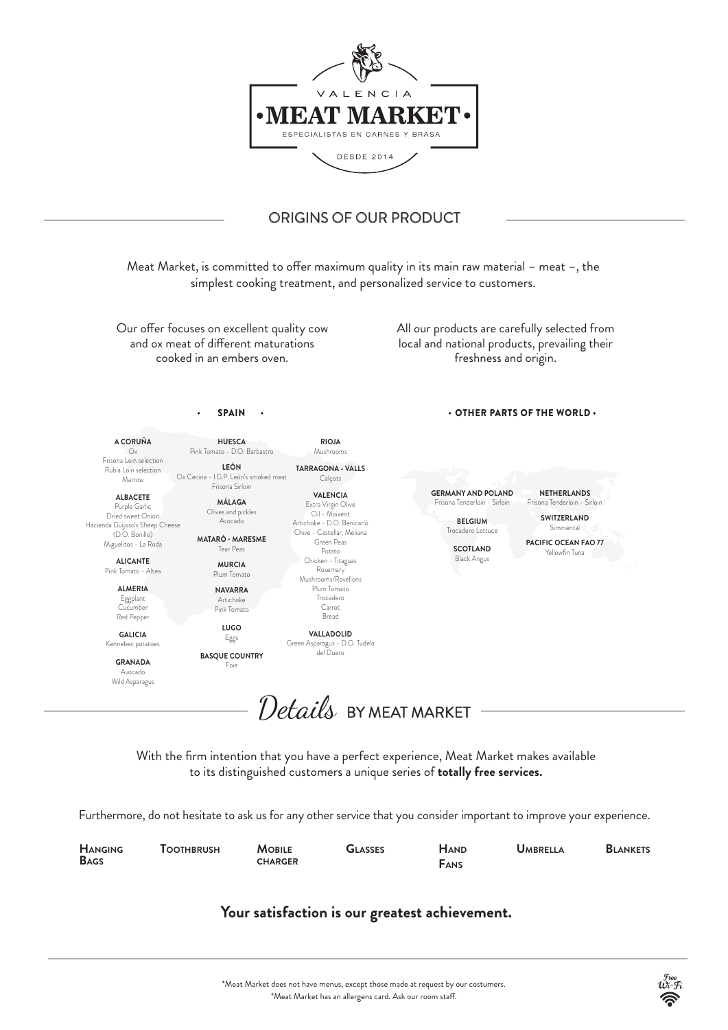OTHER PARTS OF THE WORLD

**A CORUÑA**  Ox Frisona Loin selection Rubia Loin selection Marrow

**ALBACETE** Purple Garlic Dried sweet Onion Hacienda Guijoso's Sheep Cheese (D.O. Bonillo) Miguelitos - La Roda **ALICANTE** Pink Tomato - Altea

> **ALMERIA** Eggplant Cucumber Red Pepper

**GALICIA** Kennebec potatoes

> **GRANADA** Avocado Wild Asparagus



**HUESCA** Pink Tomato - D.O. Barbastro **LEÓN** Ox Cecina - I.G.P. León's smoked meat Frisona Sirloin **MÁLAGA** Olives and pickles Avocado

Meat Market, is committed to offer maximum quality in its main raw material – meat  $-$ , the simplest cooking treatment, and personalized service to customers.

> **MATARÓ - MARESME** Tear Peas **MURCIA** Plum Tomato **NAVARRA** Artichoke Pink Tomato

Our offer focuses on excellent quality cow and ox meat of different maturations cooked in an embers oven.

> **LUGO** Eggs

> > Details BY MEAT MARKET

**BASQUE COUNTRY**

Foie

del Duero

# **Your satisfaction is our greatest achievement.**

\*Meat Market does not have menus, except those made at request by our costumers.  $^*$ Meat Market has an allergens card. Ask our room staff.





Furthermore, do not hesitate to ask us for any other service that you consider important to improve your experience.

All our products are carefully selected from local and national products, prevailing their freshness and origin.

SPAIN



## ORIGINS OF OUR PRODUCT

With the firm intention that you have a perfect experience, Meat Market makes available to its distinguished customers a unique series of **totally free services.**